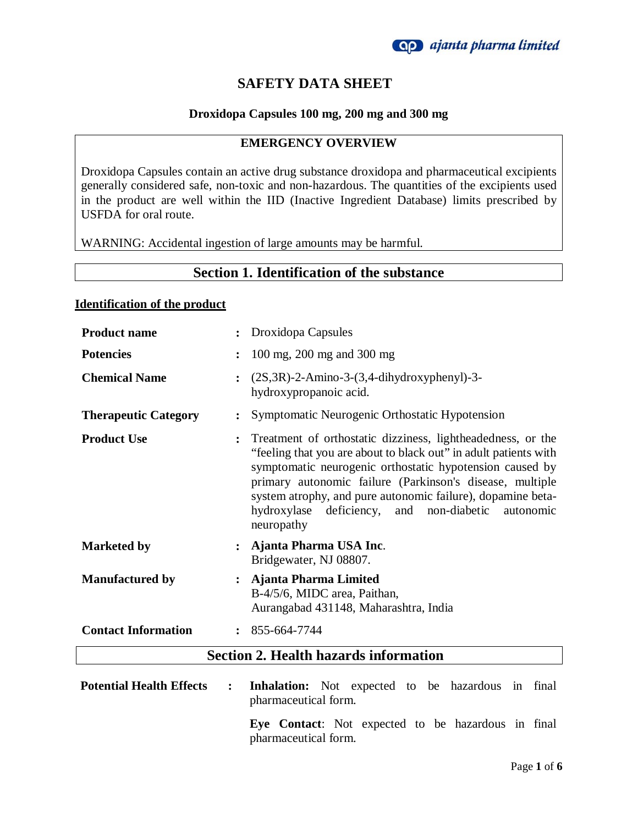## **SAFETY DATA SHEET**

### **Droxidopa Capsules 100 mg, 200 mg and 300 mg**

### **EMERGENCY OVERVIEW**

Droxidopa Capsules contain an active drug substance droxidopa and pharmaceutical excipients generally considered safe, non-toxic and non-hazardous. The quantities of the excipients used in the product are well within the IID (Inactive Ingredient Database) limits prescribed by USFDA for oral route.

WARNING: Accidental ingestion of large amounts may be harmful.

## **Section 1. Identification of the substance**

#### **Identification of the product**

| <b>Product name</b>         |                | Droxidopa Capsules                                                                                                                                                                                                                                                                                                                                                                            |
|-----------------------------|----------------|-----------------------------------------------------------------------------------------------------------------------------------------------------------------------------------------------------------------------------------------------------------------------------------------------------------------------------------------------------------------------------------------------|
| <b>Potencies</b>            | $\ddot{\cdot}$ | 100 mg, 200 mg and 300 mg                                                                                                                                                                                                                                                                                                                                                                     |
| <b>Chemical Name</b>        | $\ddot{\cdot}$ | $(2S, 3R)$ -2-Amino-3- $(3, 4$ -dihydroxyphenyl)-3-<br>hydroxypropanoic acid.                                                                                                                                                                                                                                                                                                                 |
| <b>Therapeutic Category</b> | $\ddot{\cdot}$ | Symptomatic Neurogenic Orthostatic Hypotension                                                                                                                                                                                                                                                                                                                                                |
| <b>Product Use</b>          | $\ddot{\cdot}$ | Treatment of orthostatic dizziness, lightheadedness, or the<br>"feeling that you are about to black out" in adult patients with<br>symptomatic neurogenic orthostatic hypotension caused by<br>primary autonomic failure (Parkinson's disease, multiple<br>system atrophy, and pure autonomic failure), dopamine beta-<br>hydroxylase deficiency, and<br>non-diabetic autonomic<br>neuropathy |
| <b>Marketed by</b>          | $\ddot{\cdot}$ | Ajanta Pharma USA Inc.<br>Bridgewater, NJ 08807.                                                                                                                                                                                                                                                                                                                                              |
| <b>Manufactured by</b>      | $\ddot{\cdot}$ | Ajanta Pharma Limited<br>B-4/5/6, MIDC area, Paithan,<br>Aurangabad 431148, Maharashtra, India                                                                                                                                                                                                                                                                                                |
| <b>Contact Information</b>  | $\ddot{\cdot}$ | 855-664-7744                                                                                                                                                                                                                                                                                                                                                                                  |
|                             |                | <b>Section 2. Health hazards information</b>                                                                                                                                                                                                                                                                                                                                                  |

| <b>Potential Health Effects : Inhalation:</b> Not expected to be hazardous in final |                                                    |  |  |  |  |
|-------------------------------------------------------------------------------------|----------------------------------------------------|--|--|--|--|
|                                                                                     | pharmaceutical form.                               |  |  |  |  |
|                                                                                     | Eye Contact: Not expected to be hazardous in final |  |  |  |  |

pharmaceutical form.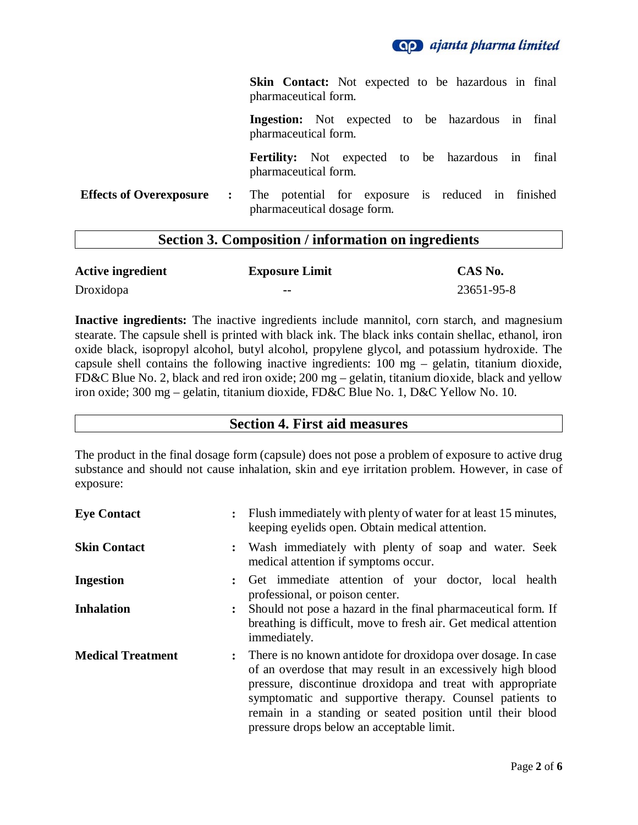

**Skin Contact:** Not expected to be hazardous in final pharmaceutical form.

**Ingestion:** Not expected to be hazardous in final pharmaceutical form.

**Fertility:** Not expected to be hazardous in final pharmaceutical form.

**Effects of Overexposure :** The potential for exposure is reduced in finished pharmaceutical dosage form.

### **Section 3. Composition / information on ingredients**

| <b>Active ingredient</b> | <b>Exposure Limit</b> | CAS No.    |
|--------------------------|-----------------------|------------|
| Droxidopa                | --                    | 23651-95-8 |

**Inactive ingredients:** The inactive ingredients include mannitol, corn starch, and magnesium stearate. The capsule shell is printed with black ink. The black inks contain shellac, ethanol, iron oxide black, isopropyl alcohol, butyl alcohol, propylene glycol, and potassium hydroxide. The capsule shell contains the following inactive ingredients: 100 mg – gelatin, titanium dioxide, FD&C Blue No. 2, black and red iron oxide; 200 mg – gelatin, titanium dioxide, black and yellow iron oxide; 300 mg – gelatin, titanium dioxide, FD&C Blue No. 1, D&C Yellow No. 10.

### **Section 4. First aid measures**

The product in the final dosage form (capsule) does not pose a problem of exposure to active drug substance and should not cause inhalation, skin and eye irritation problem. However, in case of exposure:

| <b>Eye Contact</b>       | $\ddot{\cdot}$ | Flush immediately with plenty of water for at least 15 minutes,<br>keeping eyelids open. Obtain medical attention.                                                                                                                                                                                                                                                |
|--------------------------|----------------|-------------------------------------------------------------------------------------------------------------------------------------------------------------------------------------------------------------------------------------------------------------------------------------------------------------------------------------------------------------------|
| <b>Skin Contact</b>      | $\ddot{\cdot}$ | Wash immediately with plenty of soap and water. Seek<br>medical attention if symptoms occur.                                                                                                                                                                                                                                                                      |
| <b>Ingestion</b>         | $\ddot{\cdot}$ | Get immediate attention of your doctor, local health<br>professional, or poison center.                                                                                                                                                                                                                                                                           |
| <b>Inhalation</b>        | ፡              | Should not pose a hazard in the final pharmaceutical form. If<br>breathing is difficult, move to fresh air. Get medical attention<br>immediately.                                                                                                                                                                                                                 |
| <b>Medical Treatment</b> |                | : There is no known antidote for droxidopa over dosage. In case<br>of an overdose that may result in an excessively high blood<br>pressure, discontinue droxidopa and treat with appropriate<br>symptomatic and supportive therapy. Counsel patients to<br>remain in a standing or seated position until their blood<br>pressure drops below an acceptable limit. |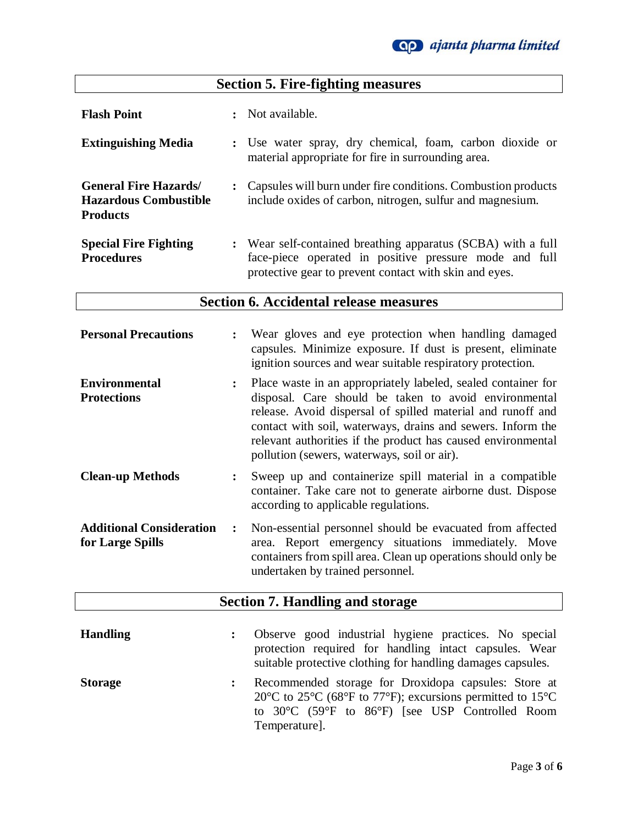# **Section 5. Fire-fighting measures**

| <b>Flash Point</b>                                                             | Not available.                                                                                                                                                                   |
|--------------------------------------------------------------------------------|----------------------------------------------------------------------------------------------------------------------------------------------------------------------------------|
| <b>Extinguishing Media</b>                                                     | : Use water spray, dry chemical, foam, carbon dioxide or<br>material appropriate for fire in surrounding area.                                                                   |
| <b>General Fire Hazards</b><br><b>Hazardous Combustible</b><br><b>Products</b> | Capsules will burn under fire conditions. Combustion products<br>include oxides of carbon, nitrogen, sulfur and magnesium.                                                       |
| <b>Special Fire Fighting</b><br><b>Procedures</b>                              | : Wear self-contained breathing apparatus (SCBA) with a full<br>face-piece operated in positive pressure mode and full<br>protective gear to prevent contact with skin and eyes. |

# **Section 6. Accidental release measures**

| <b>Personal Precautions</b>                         |                | Wear gloves and eye protection when handling damaged<br>capsules. Minimize exposure. If dust is present, eliminate<br>ignition sources and wear suitable respiratory protection.                                                                                                                                                                                    |
|-----------------------------------------------------|----------------|---------------------------------------------------------------------------------------------------------------------------------------------------------------------------------------------------------------------------------------------------------------------------------------------------------------------------------------------------------------------|
| <b>Environmental</b><br><b>Protections</b>          | $\ddot{\cdot}$ | Place waste in an appropriately labeled, sealed container for<br>disposal. Care should be taken to avoid environmental<br>release. Avoid dispersal of spilled material and runoff and<br>contact with soil, waterways, drains and sewers. Inform the<br>relevant authorities if the product has caused environmental<br>pollution (sewers, waterways, soil or air). |
| <b>Clean-up Methods</b>                             | $\ddot{\cdot}$ | Sweep up and containerize spill material in a compatible<br>container. Take care not to generate airborne dust. Dispose<br>according to applicable regulations.                                                                                                                                                                                                     |
| <b>Additional Consideration</b><br>for Large Spills | $\ddot{\cdot}$ | Non-essential personnel should be evacuated from affected<br>area. Report emergency situations immediately. Move<br>containers from spill area. Clean up operations should only be<br>undertaken by trained personnel.                                                                                                                                              |
|                                                     |                | <b>Section 7. Handling and storage</b>                                                                                                                                                                                                                                                                                                                              |
| <b>Handling</b>                                     | $\ddot{\cdot}$ | Observe good industrial hygiene practices. No special<br>protection required for handling intact capsules. Wear<br>suitable protective clothing for handling damages capsules.                                                                                                                                                                                      |
| <b>Storage</b>                                      | $\ddot{\cdot}$ | Recommended storage for Droxidopa capsules: Store at<br>20 $\rm{^{\circ}C}$ to 25 $\rm{^{\circ}C}$ (68 $\rm{^{\circ}F}$ to 77 $\rm{^{\circ}F}$ ); excursions permitted to 15 $\rm{^{\circ}C}$<br>to 30°C (59°F to 86°F) [see USP Controlled Room                                                                                                                    |

Temperature].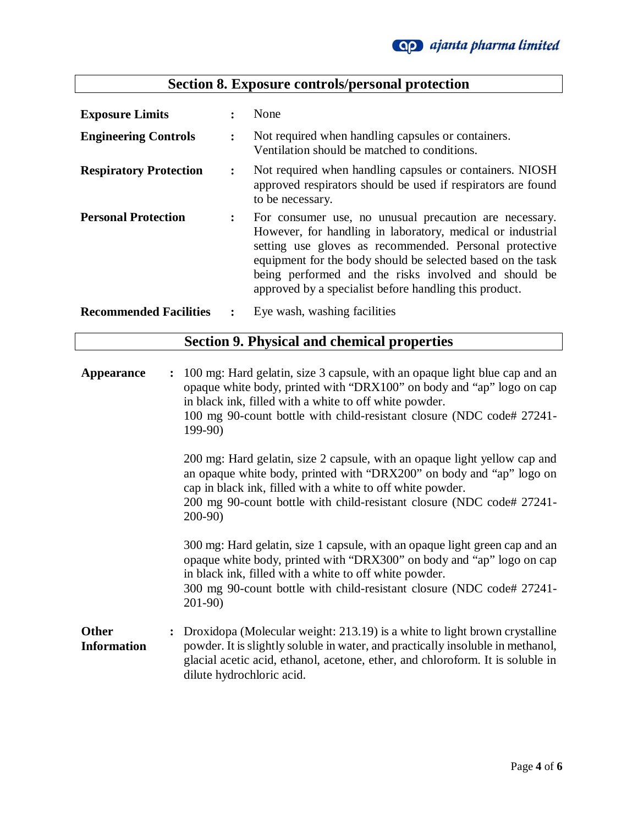| <b>Exposure Limits</b>                             |                      | None                                                                                                                                                                                                                                                                                                                                                            |  |
|----------------------------------------------------|----------------------|-----------------------------------------------------------------------------------------------------------------------------------------------------------------------------------------------------------------------------------------------------------------------------------------------------------------------------------------------------------------|--|
| <b>Engineering Controls</b>                        | $\ddot{\phantom{a}}$ | Not required when handling capsules or containers.<br>Ventilation should be matched to conditions.                                                                                                                                                                                                                                                              |  |
| <b>Respiratory Protection</b>                      | $\ddot{\cdot}$       | Not required when handling capsules or containers. NIOSH<br>approved respirators should be used if respirators are found<br>to be necessary.                                                                                                                                                                                                                    |  |
| <b>Personal Protection</b>                         | $\ddot{\phantom{a}}$ | For consumer use, no unusual precaution are necessary.<br>However, for handling in laboratory, medical or industrial<br>setting use gloves as recommended. Personal protective<br>equipment for the body should be selected based on the task<br>being performed and the risks involved and should be<br>approved by a specialist before handling this product. |  |
| <b>Recommended Facilities</b>                      | $\ddot{\phantom{a}}$ | Eye wash, washing facilities                                                                                                                                                                                                                                                                                                                                    |  |
| <b>Section 9. Physical and chemical properties</b> |                      |                                                                                                                                                                                                                                                                                                                                                                 |  |

| Appearance                         | $\ddot{\cdot}$ | 100 mg: Hard gelatin, size 3 capsule, with an opaque light blue cap and an<br>opaque white body, printed with "DRX100" on body and "ap" logo on cap<br>in black ink, filled with a white to off white powder.<br>100 mg 90-count bottle with child-resistant closure (NDC code# 27241-<br>$199-90$   |
|------------------------------------|----------------|------------------------------------------------------------------------------------------------------------------------------------------------------------------------------------------------------------------------------------------------------------------------------------------------------|
|                                    |                | 200 mg: Hard gelatin, size 2 capsule, with an opaque light yellow cap and<br>an opaque white body, printed with "DRX200" on body and "ap" logo on<br>cap in black ink, filled with a white to off white powder.<br>200 mg 90-count bottle with child-resistant closure (NDC code# 27241-<br>$200-90$ |
|                                    |                | 300 mg: Hard gelatin, size 1 capsule, with an opaque light green cap and an<br>opaque white body, printed with "DRX300" on body and "ap" logo on cap<br>in black ink, filled with a white to off white powder.<br>300 mg 90-count bottle with child-resistant closure (NDC code# 27241-<br>$201-90$  |
| <b>Other</b><br><b>Information</b> |                | Droxidopa (Molecular weight: 213.19) is a white to light brown crystalline<br>powder. It is slightly soluble in water, and practically insoluble in methanol,<br>glacial acetic acid, ethanol, acetone, ether, and chloroform. It is soluble in<br>dilute hydrochloric acid.                         |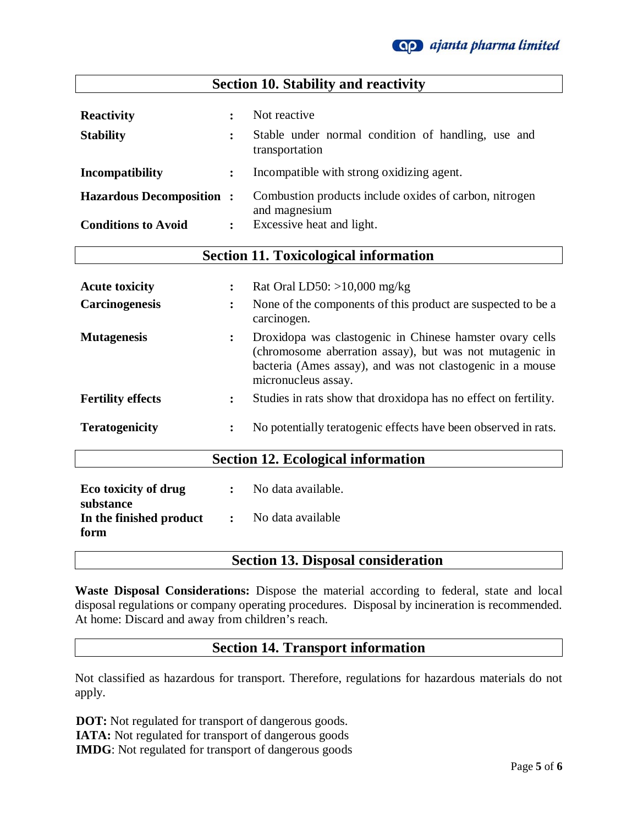

| <b>Section 10. Stability and reactivity</b>                                                                |                      |                                                                                      |  |  |
|------------------------------------------------------------------------------------------------------------|----------------------|--------------------------------------------------------------------------------------|--|--|
| <b>Reactivity</b><br><b>Stability</b>                                                                      | $\ddot{\cdot}$       | Not reactive<br>Stable under normal condition of handling, use and<br>transportation |  |  |
| Incompatibility                                                                                            | $\ddot{\cdot}$       | Incompatible with strong oxidizing agent.                                            |  |  |
| Combustion products include oxides of carbon, nitrogen<br><b>Hazardous Decomposition:</b><br>and magnesium |                      |                                                                                      |  |  |
| <b>Conditions to Avoid</b>                                                                                 | $\ddot{\phantom{a}}$ | Excessive heat and light.                                                            |  |  |
| <b>Section 11. Toxicological information</b>                                                               |                      |                                                                                      |  |  |

| <b>Acute toxicity</b>       | $\ddot{\phantom{a}}$ | Rat Oral LD50: $>10,000$ mg/kg                                                                                                                                                                          |
|-----------------------------|----------------------|---------------------------------------------------------------------------------------------------------------------------------------------------------------------------------------------------------|
| <b>Carcinogenesis</b>       | $\ddot{\phantom{a}}$ | None of the components of this product are suspected to be a<br>carcinogen.                                                                                                                             |
| <b>Mutagenesis</b>          | $\ddot{\cdot}$       | Droxidopa was clastogenic in Chinese hamster ovary cells<br>(chromosome aberration assay), but was not mutagenic in<br>bacteria (Ames assay), and was not clastogenic in a mouse<br>micronucleus assay. |
| <b>Fertility effects</b>    | $\ddot{\cdot}$       | Studies in rats show that droxidopa has no effect on fertility.                                                                                                                                         |
| <b>Teratogenicity</b>       | $\ddot{\phantom{a}}$ | No potentially teratogenic effects have been observed in rats.                                                                                                                                          |
|                             |                      | <b>Section 12. Ecological information</b>                                                                                                                                                               |
| <b>E</b> <i>i i i i i i</i> |                      | $\mathbf{M} = \mathbf{1}$ , $\mathbf{1} = \mathbf{1} + \mathbf{1}$                                                                                                                                      |

| Eco toxicity of drug    |                                                                                              | No data available. |
|-------------------------|----------------------------------------------------------------------------------------------|--------------------|
| substance               |                                                                                              |                    |
| In the finished product | $\mathcal{L}^{\text{max}}_{\text{max}}$ . The set of $\mathcal{L}^{\text{max}}_{\text{max}}$ | No data available  |
| form                    |                                                                                              |                    |

## **Section 13. Disposal consideration**

**Waste Disposal Considerations:** Dispose the material according to federal, state and local disposal regulations or company operating procedures. Disposal by incineration is recommended. At home: Discard and away from children's reach.

## **Section 14. Transport information**

Not classified as hazardous for transport. Therefore, regulations for hazardous materials do not apply.

 **DOT:** Not regulated for transport of dangerous goods.  **IATA:** Not regulated for transport of dangerous goods  **IMDG**: Not regulated for transport of dangerous goods